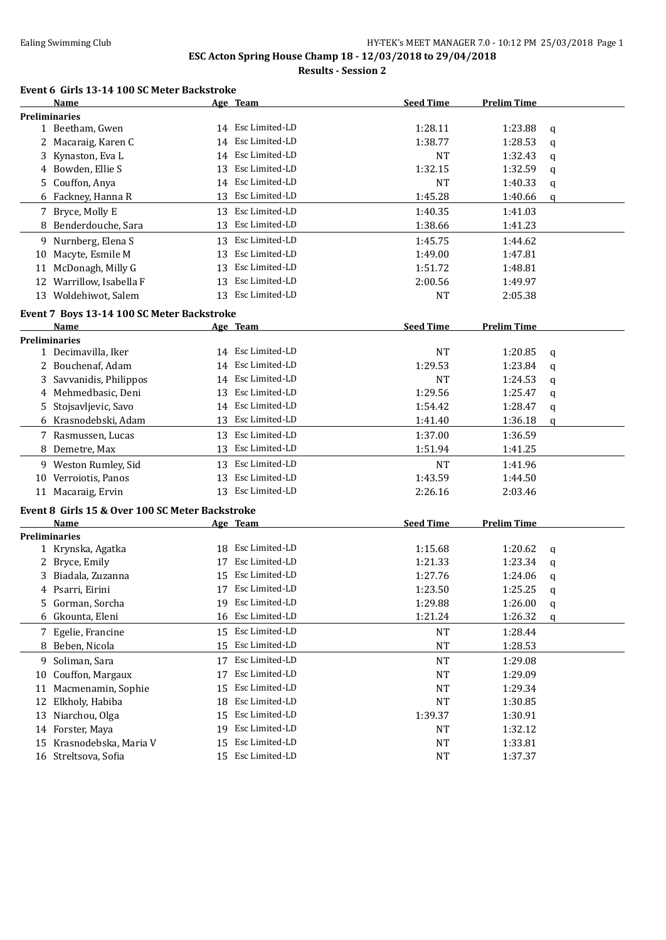### Ealing Swimming Club **HY-TEK's MEET MANAGER 7.0 - 10:12 PM 25/03/2018** Page 1 **ESC Acton Spring House Champ 18 - 12/03/2018 to 29/04/2018**

**Results - Session 2**

#### **Event 6 Girls 13-14 100 SC Meter Backstroke**

|    | Name                                            |    | Age Team          | <b>Seed Time</b>   | <b>Prelim Time</b> |   |
|----|-------------------------------------------------|----|-------------------|--------------------|--------------------|---|
|    | <b>Preliminaries</b>                            |    |                   |                    |                    |   |
|    | 1 Beetham, Gwen                                 |    | 14 Esc Limited-LD | 1:28.11            | 1:23.88            | q |
|    | 2 Macaraig, Karen C                             | 14 | Esc Limited-LD    | 1:38.77            | 1:28.53            | q |
| 3  | Kynaston, Eva L                                 |    | 14 Esc Limited-LD | NT                 | 1:32.43            | q |
|    | 4 Bowden, Ellie S                               | 13 | Esc Limited-LD    | 1:32.15            | 1:32.59            | q |
| 5. | Couffon, Anya                                   |    | 14 Esc Limited-LD | <b>NT</b>          | 1:40.33            | q |
|    | 6 Fackney, Hanna R                              |    | 13 Esc Limited-LD | 1:45.28            | 1:40.66            | q |
|    | 7 Bryce, Molly E                                |    | 13 Esc Limited-LD | 1:40.35            | 1:41.03            |   |
|    | 8 Benderdouche, Sara                            |    | 13 Esc Limited-LD | 1:38.66            | 1:41.23            |   |
|    | 9 Nurnberg, Elena S                             |    | 13 Esc Limited-LD | 1:45.75            | 1:44.62            |   |
| 10 | Macyte, Esmile M                                | 13 | Esc Limited-LD    | 1:49.00            | 1:47.81            |   |
| 11 | McDonagh, Milly G                               | 13 | Esc Limited-LD    | 1:51.72            | 1:48.81            |   |
| 12 | Warrillow, Isabella F                           | 13 | Esc Limited-LD    | 2:00.56            | 1:49.97            |   |
|    | 13 Woldehiwot, Salem                            |    | 13 Esc Limited-LD | <b>NT</b>          |                    |   |
|    |                                                 |    |                   |                    | 2:05.38            |   |
|    | Event 7 Boys 13-14 100 SC Meter Backstroke      |    |                   |                    |                    |   |
|    | Name                                            |    | Age Team          | <b>Seed Time</b>   | <b>Prelim Time</b> |   |
|    | <b>Preliminaries</b>                            |    |                   |                    |                    |   |
|    | 1 Decimavilla, Iker                             |    | 14 Esc Limited-LD | <b>NT</b>          | 1:20.85            | q |
|    | 2 Bouchenaf, Adam                               | 14 | Esc Limited-LD    | 1:29.53            | 1:23.84            | q |
|    | 3 Savvanidis, Philippos                         | 14 | Esc Limited-LD    | NT                 | 1:24.53            | q |
|    | 4 Mehmedbasic, Deni                             | 13 | Esc Limited-LD    | 1:29.56            | 1:25.47            | q |
|    | 5 Stojsavljevic, Savo                           | 14 | Esc Limited-LD    | 1:54.42            | 1:28.47            | q |
|    | 6 Krasnodebski, Adam                            |    | 13 Esc Limited-LD | 1:41.40            | 1:36.18            | q |
|    | 7 Rasmussen, Lucas                              | 13 | Esc Limited-LD    | 1:37.00            | 1:36.59            |   |
| 8  | Demetre, Max                                    | 13 | Esc Limited-LD    | 1:51.94            | 1:41.25            |   |
|    | 9 Weston Rumley, Sid                            |    | 13 Esc Limited-LD | <b>NT</b>          | 1:41.96            |   |
|    | 10 Verroiotis, Panos                            |    | 13 Esc Limited-LD | 1:43.59            | 1:44.50            |   |
|    | 11 Macaraig, Ervin                              |    | 13 Esc Limited-LD | 2:26.16            | 2:03.46            |   |
|    |                                                 |    |                   |                    |                    |   |
|    | Event 8 Girls 15 & Over 100 SC Meter Backstroke |    |                   |                    |                    |   |
|    | Name                                            |    | Age Team          | <b>Seed Time</b>   | <b>Prelim Time</b> |   |
|    | <b>Preliminaries</b><br>1 Krynska, Agatka       |    | 18 Esc Limited-LD | 1:15.68            | 1:20.62            |   |
|    |                                                 | 17 | Esc Limited-LD    | 1:21.33            | 1:23.34            | q |
|    | 2 Bryce, Emily                                  | 15 | Esc Limited-LD    |                    |                    | q |
|    | 3 Biadala, Zuzanna<br>4 Psarri, Eirini          |    | 17 Esc Limited-LD | 1:27.76<br>1:23.50 | 1:24.06<br>1:25.25 | q |
|    |                                                 |    | Esc Limited-LD    |                    |                    | q |
| 5  | Gorman, Sorcha                                  |    |                   | 1:29.88            | 1:26.00            | q |
| 6  | Gkounta, Eleni                                  | 16 | Esc Limited-LD    | 1:21.24            | 1:26.32            | q |
|    | 7 Egelie, Francine                              | 15 | Esc Limited-LD    | NT                 | 1:28.44            |   |
|    | 8 Beben, Nicola                                 | 15 | Esc Limited-LD    | NT                 | 1:28.53            |   |
| 9  | Soliman, Sara                                   | 17 | Esc Limited-LD    | <b>NT</b>          | 1:29.08            |   |
| 10 | Couffon, Margaux                                | 17 | Esc Limited-LD    | NT                 | 1:29.09            |   |
| 11 | Macmenamin, Sophie                              | 15 | Esc Limited-LD    | NT                 | 1:29.34            |   |
| 12 | Elkholy, Habiba                                 | 18 | Esc Limited-LD    | <b>NT</b>          | 1:30.85            |   |
| 13 | Niarchou, Olga                                  | 15 | Esc Limited-LD    | 1:39.37            | 1:30.91            |   |
|    | 14 Forster, Maya                                | 19 | Esc Limited-LD    | <b>NT</b>          | 1:32.12            |   |
| 15 | Krasnodebska, Maria V                           | 15 | Esc Limited-LD    | <b>NT</b>          | 1:33.81            |   |
|    | 16 Streltsova, Sofia                            | 15 | Esc Limited-LD    | <b>NT</b>          | 1:37.37            |   |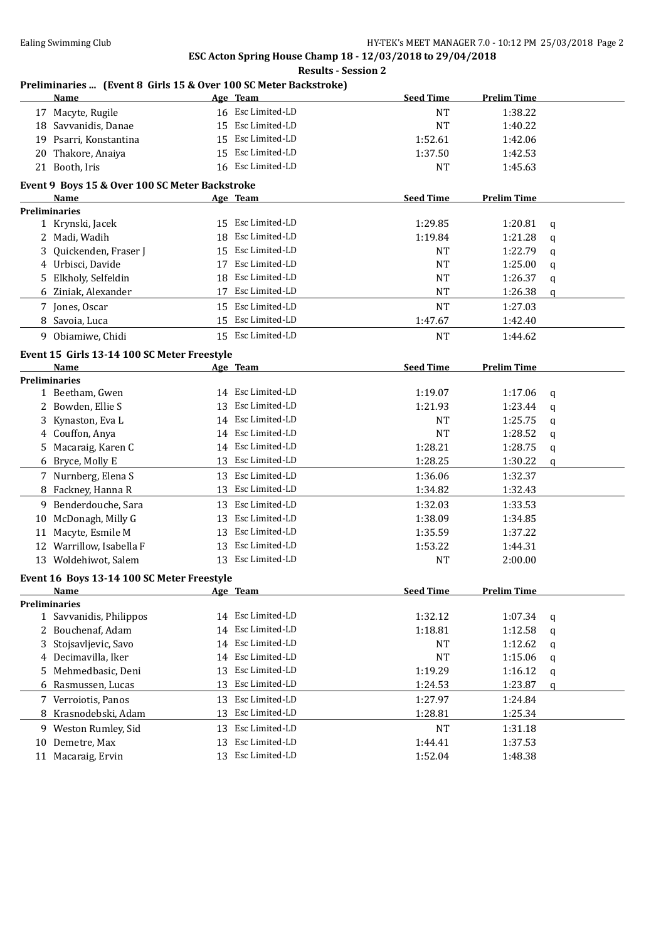$\sim$ 

# **ESC Acton Spring House Champ 18 - 12/03/2018 to 29/04/2018**

|    |                                                                  |    | ESC Acton Spring House Champ 18 - 12/03/2018 to 29/04/2018<br><b>Results - Session 2</b> |                  |                    |             |
|----|------------------------------------------------------------------|----|------------------------------------------------------------------------------------------|------------------|--------------------|-------------|
|    | Preliminaries  (Event 8 Girls 15 & Over 100 SC Meter Backstroke) |    |                                                                                          |                  |                    |             |
|    | Name                                                             |    | Age Team                                                                                 | <b>Seed Time</b> | <b>Prelim Time</b> |             |
|    | 17 Macyte, Rugile                                                |    | 16 Esc Limited-LD                                                                        | <b>NT</b>        | 1:38.22            |             |
|    | 18 Savvanidis, Danae                                             |    | 15 Esc Limited-LD                                                                        | <b>NT</b>        | 1:40.22            |             |
|    | 19 Psarri, Konstantina                                           |    | 15 Esc Limited-LD                                                                        | 1:52.61          | 1:42.06            |             |
| 20 | Thakore, Anaiya                                                  |    | 15 Esc Limited-LD                                                                        | 1:37.50          | 1:42.53            |             |
|    | 21 Booth, Iris                                                   |    | 16 Esc Limited-LD                                                                        | <b>NT</b>        | 1:45.63            |             |
|    | Event 9 Boys 15 & Over 100 SC Meter Backstroke                   |    |                                                                                          |                  |                    |             |
|    | Name                                                             |    | Age Team                                                                                 | <b>Seed Time</b> | <b>Prelim Time</b> |             |
|    | <b>Preliminaries</b>                                             |    |                                                                                          |                  |                    |             |
|    | 1 Krynski, Jacek                                                 |    | 15 Esc Limited-LD                                                                        | 1:29.85          | 1:20.81            | q           |
|    | 2 Madi, Wadih                                                    | 18 | Esc Limited-LD                                                                           | 1:19.84          | 1:21.28            | q           |
| 3  | Quickenden, Fraser J                                             | 15 | Esc Limited-LD                                                                           | <b>NT</b>        | 1:22.79            | q           |
|    | 4 Urbisci, Davide                                                | 17 | Esc Limited-LD                                                                           | <b>NT</b>        | 1:25.00            | q           |
| 5. | Elkholy, Selfeldin                                               | 18 | Esc Limited-LD                                                                           | <b>NT</b>        | 1:26.37            | q           |
|    | 6 Ziniak, Alexander                                              | 17 | Esc Limited-LD                                                                           | <b>NT</b>        | 1:26.38            | q           |
|    | 7 Jones, Oscar                                                   |    | 15 Esc Limited-LD                                                                        | <b>NT</b>        | 1:27.03            |             |
|    | 8 Savoia, Luca                                                   |    | 15 Esc Limited-LD                                                                        | 1:47.67          | 1:42.40            |             |
|    | 9 Obiamiwe, Chidi                                                |    | 15 Esc Limited-LD                                                                        | <b>NT</b>        | 1:44.62            |             |
|    |                                                                  |    |                                                                                          |                  |                    |             |
|    | Event 15 Girls 13-14 100 SC Meter Freestyle<br>Name              |    |                                                                                          | <b>Seed Time</b> | <b>Prelim Time</b> |             |
|    | <b>Preliminaries</b>                                             |    | Age Team                                                                                 |                  |                    |             |
|    | 1 Beetham, Gwen                                                  |    | 14 Esc Limited-LD                                                                        | 1:19.07          | 1:17.06            | q           |
|    | 2 Bowden, Ellie S                                                | 13 | Esc Limited-LD                                                                           | 1:21.93          | 1:23.44            |             |
|    | 3 Kynaston, Eva L                                                |    | 14 Esc Limited-LD                                                                        | <b>NT</b>        | 1:25.75            | q           |
|    |                                                                  |    | 14 Esc Limited-LD                                                                        | <b>NT</b>        | 1:28.52            | q           |
|    | 4 Couffon, Anya                                                  |    | 14 Esc Limited-LD                                                                        |                  |                    | q           |
|    | 5 Macaraig, Karen C                                              |    |                                                                                          | 1:28.21          | 1:28.75            | q           |
|    | 6 Bryce, Molly E                                                 |    | 13 Esc Limited-LD                                                                        | 1:28.25          | 1:30.22            | $\mathbf q$ |
|    | 7 Nurnberg, Elena S                                              |    | 13 Esc Limited-LD                                                                        | 1:36.06          | 1:32.37            |             |
|    | 8 Fackney, Hanna R                                               |    | 13 Esc Limited-LD                                                                        | 1:34.82          | 1:32.43            |             |
|    | 9 Benderdouche, Sara                                             |    | 13 Esc Limited-LD                                                                        | 1:32.03          | 1:33.53            |             |
|    | 10 McDonagh, Milly G                                             |    | 13 Esc Limited-LD                                                                        | 1:38.09          | 1:34.85            |             |
| 11 | Macyte, Esmile M                                                 | 13 | Esc Limited-LD                                                                           | 1:35.59          | 1:37.22            |             |
|    | 12 Warrillow, Isabella F                                         |    | 13 Esc Limited-LD                                                                        | 1:53.22          | 1:44.31            |             |
|    | 13 Woldehiwot, Salem                                             |    | 13 Esc Limited-LD                                                                        | <b>NT</b>        | 2:00.00            |             |
|    | Event 16 Boys 13-14 100 SC Meter Freestyle                       |    |                                                                                          |                  |                    |             |
|    | Name                                                             |    | Age Team                                                                                 | <b>Seed Time</b> | <b>Prelim Time</b> |             |
|    | <b>Preliminaries</b>                                             |    |                                                                                          |                  |                    |             |
|    | 1 Savvanidis, Philippos                                          |    | 14 Esc Limited-LD                                                                        | 1:32.12          | 1:07.34            | q           |
|    | 2 Bouchenaf, Adam                                                | 14 | Esc Limited-LD                                                                           | 1:18.81          | 1:12.58            | q           |
| 3  | Stojsavljevic, Savo                                              | 14 | Esc Limited-LD                                                                           | <b>NT</b>        | 1:12.62            | q           |
|    | 4 Decimavilla, Iker                                              | 14 | Esc Limited-LD                                                                           | <b>NT</b>        | 1:15.06            | q           |
| 5. | Mehmedbasic, Deni                                                | 13 | Esc Limited-LD                                                                           | 1:19.29          | 1:16.12            | q           |
| 6  | Rasmussen, Lucas                                                 | 13 | Esc Limited-LD                                                                           | 1:24.53          | 1:23.87            | q           |
|    | 7 Verroiotis, Panos                                              | 13 | Esc Limited-LD                                                                           | 1:27.97          | 1:24.84            |             |
| 8  | Krasnodebski, Adam                                               | 13 | Esc Limited-LD                                                                           | 1:28.81          | 1:25.34            |             |
|    | 9 Weston Rumley, Sid                                             |    | 13 Esc Limited-LD                                                                        | NT               | 1:31.18            |             |
|    | 10 Demetre, Max                                                  | 13 | Esc Limited-LD                                                                           | 1:44.41          | 1:37.53            |             |
|    | 11 Macaraig, Ervin                                               |    | 13 Esc Limited-LD                                                                        | 1:52.04          | 1:48.38            |             |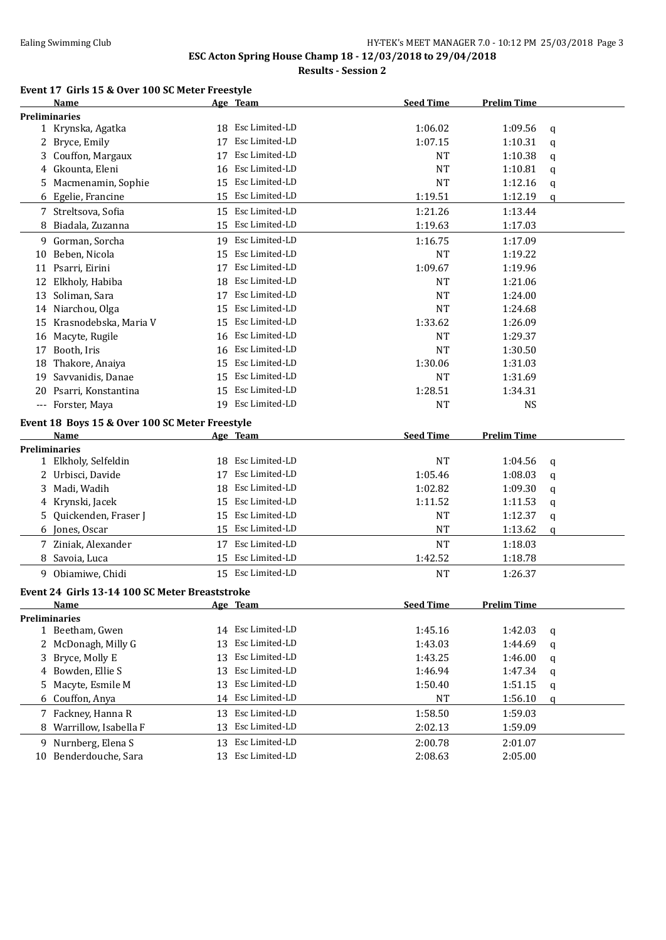#### **ESC Acton Spring House Champ 18 - 12/03/2018 to 29/04/2018 Results - Session 2**

# **Event 17 Girls 15 & Over 100 SC Meter Freestyle**

|    | <b>Name</b>                                    |    | Age Team          | <b>Seed Time</b> | <b>Prelim Time</b> |   |
|----|------------------------------------------------|----|-------------------|------------------|--------------------|---|
|    | <b>Preliminaries</b>                           |    |                   |                  |                    |   |
|    | 1 Krynska, Agatka                              |    | 18 Esc Limited-LD | 1:06.02          | 1:09.56            | q |
| 2  | Bryce, Emily                                   | 17 | Esc Limited-LD    | 1:07.15          | 1:10.31            | q |
| 3  | Couffon, Margaux                               | 17 | Esc Limited-LD    | <b>NT</b>        | 1:10.38            | q |
| 4  | Gkounta, Eleni                                 | 16 | Esc Limited-LD    | <b>NT</b>        | 1:10.81            | q |
| 5  | Macmenamin, Sophie                             | 15 | Esc Limited-LD    | <b>NT</b>        | 1:12.16            | q |
|    | 6 Egelie, Francine                             | 15 | Esc Limited-LD    | 1:19.51          | 1:12.19            | q |
|    | 7 Streltsova, Sofia                            |    | 15 Esc Limited-LD | 1:21.26          | 1:13.44            |   |
|    | Biadala, Zuzanna                               | 15 | Esc Limited-LD    | 1:19.63          | 1:17.03            |   |
|    | 9 Gorman, Sorcha                               |    | 19 Esc Limited-LD | 1:16.75          | 1:17.09            |   |
| 10 | Beben, Nicola                                  |    | 15 Esc Limited-LD | <b>NT</b>        | 1:19.22            |   |
| 11 | Psarri, Eirini                                 | 17 | Esc Limited-LD    | 1:09.67          | 1:19.96            |   |
| 12 | Elkholy, Habiba                                | 18 | Esc Limited-LD    | <b>NT</b>        | 1:21.06            |   |
| 13 | Soliman, Sara                                  | 17 | Esc Limited-LD    | NT               | 1:24.00            |   |
|    | 14 Niarchou, Olga                              | 15 | Esc Limited-LD    | <b>NT</b>        | 1:24.68            |   |
| 15 | Krasnodebska, Maria V                          | 15 | Esc Limited-LD    | 1:33.62          | 1:26.09            |   |
|    | 16 Macyte, Rugile                              | 16 | Esc Limited-LD    | NT               | 1:29.37            |   |
| 17 | Booth, Iris                                    | 16 | Esc Limited-LD    | <b>NT</b>        | 1:30.50            |   |
|    | 18 Thakore, Anaiya                             | 15 | Esc Limited-LD    | 1:30.06          | 1:31.03            |   |
| 19 | Savvanidis, Danae                              | 15 | Esc Limited-LD    | <b>NT</b>        | 1:31.69            |   |
|    | 20 Psarri, Konstantina                         |    | 15 Esc Limited-LD | 1:28.51          | 1:34.31            |   |
|    | --- Forster, Maya                              |    | 19 Esc Limited-LD | <b>NT</b>        | <b>NS</b>          |   |
|    |                                                |    |                   |                  |                    |   |
|    | Event 18 Boys 15 & Over 100 SC Meter Freestyle |    |                   |                  |                    |   |
|    | Name                                           |    | Age Team          | <b>Seed Time</b> | <b>Prelim Time</b> |   |
|    | <b>Preliminaries</b>                           |    | Esc Limited-LD    |                  |                    |   |
|    | 1 Elkholy, Selfeldin                           | 18 |                   | <b>NT</b>        | 1:04.56            | q |
|    | 2 Urbisci, Davide                              | 17 | Esc Limited-LD    | 1:05.46          | 1:08.03            | q |
| 3  | Madi, Wadih                                    | 18 | Esc Limited-LD    | 1:02.82          | 1:09.30            | q |
|    | 4 Krynski, Jacek                               | 15 | Esc Limited-LD    | 1:11.52          | 1:11.53            | q |
| 5  | Quickenden, Fraser J                           | 15 | Esc Limited-LD    | NT               | 1:12.37            | q |
|    | 6 Jones, Oscar                                 | 15 | Esc Limited-LD    | <b>NT</b>        | 1:13.62            | q |
|    | 7 Ziniak, Alexander                            | 17 | Esc Limited-LD    | <b>NT</b>        | 1:18.03            |   |
| 8  | Savoia, Luca                                   | 15 | Esc Limited-LD    | 1:42.52          | 1:18.78            |   |
|    | 9 Obiamiwe, Chidi                              |    | 15 Esc Limited-LD | <b>NT</b>        | 1:26.37            |   |
|    | Event 24 Girls 13-14 100 SC Meter Breaststroke |    |                   |                  |                    |   |
|    | <b>Name</b>                                    |    | Age Team          | <b>Seed Time</b> | <b>Prelim Time</b> |   |
|    | <b>Preliminaries</b>                           |    |                   |                  |                    |   |
|    | 1 Beetham, Gwen                                |    | 14 Esc Limited-LD | 1:45.16          | 1:42.03            | q |
| 2  | McDonagh, Milly G                              | 13 | Esc Limited-LD    | 1:43.03          | 1:44.69            | q |
| 3  | Bryce, Molly E                                 | 13 | Esc Limited-LD    | 1:43.25          | 1:46.00            | q |
| 4  | Bowden, Ellie S                                | 13 | Esc Limited-LD    | 1:46.94          | 1:47.34            | q |
| 5  | Macyte, Esmile M                               | 13 | Esc Limited-LD    | 1:50.40          | 1:51.15            | q |
| 6  | Couffon, Anya                                  | 14 | Esc Limited-LD    | NT               | 1:56.10            | q |
|    | 7 Fackney, Hanna R                             | 13 | Esc Limited-LD    | 1:58.50          | 1:59.03            |   |
|    | Warrillow, Isabella F                          | 13 | Esc Limited-LD    | 2:02.13          | 1:59.09            |   |
| 9. | Nurnberg, Elena S                              | 13 | Esc Limited-LD    | 2:00.78          | 2:01.07            |   |
|    | 10 Benderdouche, Sara                          | 13 | Esc Limited-LD    | 2:08.63          | 2:05.00            |   |
|    |                                                |    |                   |                  |                    |   |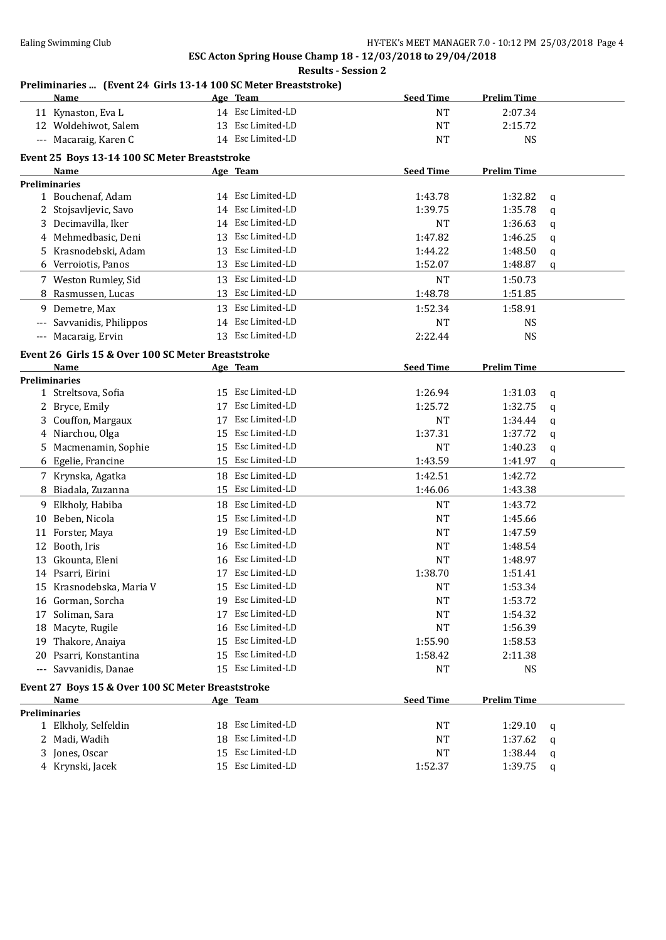### **Results - Session 2**

### **Preliminaries ... (Event 24 Girls 13-14 100 SC Meter Breaststroke)**

|       | Name                                                  |    | Age Team          | <b>Seed Time</b> | <b>Prelim Time</b> |   |
|-------|-------------------------------------------------------|----|-------------------|------------------|--------------------|---|
|       | 11 Kynaston, Eva L                                    |    | 14 Esc Limited-LD | NT               | 2:07.34            |   |
|       | 12 Woldehiwot, Salem                                  |    | 13 Esc Limited-LD | <b>NT</b>        | 2:15.72            |   |
|       | --- Macaraig, Karen C                                 |    | 14 Esc Limited-LD | NT               | <b>NS</b>          |   |
|       |                                                       |    |                   |                  |                    |   |
|       | Event 25 Boys 13-14 100 SC Meter Breaststroke<br>Name |    | Age Team          | <b>Seed Time</b> | <b>Prelim Time</b> |   |
|       | <b>Preliminaries</b>                                  |    |                   |                  |                    |   |
|       | 1 Bouchenaf, Adam                                     |    | 14 Esc Limited-LD | 1:43.78          | 1:32.82            | q |
|       | 2 Stojsavljevic, Savo                                 | 14 | Esc Limited-LD    | 1:39.75          | 1:35.78            | q |
|       | 3 Decimavilla, Iker                                   | 14 | Esc Limited-LD    | NT               | 1:36.63            | q |
|       | 4 Mehmedbasic, Deni                                   | 13 | Esc Limited-LD    | 1:47.82          | 1:46.25            | q |
|       | 5 Krasnodebski, Adam                                  | 13 | Esc Limited-LD    | 1:44.22          | 1:48.50            | q |
|       | 6 Verroiotis, Panos                                   | 13 | Esc Limited-LD    | 1:52.07          | 1:48.87            | q |
|       |                                                       |    |                   |                  |                    |   |
|       | 7 Weston Rumley, Sid                                  | 13 | Esc Limited-LD    | <b>NT</b>        | 1:50.73            |   |
|       | Rasmussen, Lucas                                      | 13 | Esc Limited-LD    | 1:48.78          | 1:51.85            |   |
|       | 9 Demetre, Max                                        | 13 | Esc Limited-LD    | 1:52.34          | 1:58.91            |   |
| ---   | Savvanidis, Philippos                                 | 14 | Esc Limited-LD    | NT               | <b>NS</b>          |   |
| $---$ | Macaraig, Ervin                                       |    | 13 Esc Limited-LD | 2:22.44          | <b>NS</b>          |   |
|       | Event 26 Girls 15 & Over 100 SC Meter Breaststroke    |    |                   |                  |                    |   |
|       | <b>Name</b>                                           |    | Age Team          | <b>Seed Time</b> | <b>Prelim Time</b> |   |
|       | Preliminaries                                         |    |                   |                  |                    |   |
|       | 1 Streltsova, Sofia                                   | 15 | Esc Limited-LD    | 1:26.94          | 1:31.03            | q |
|       | 2 Bryce, Emily                                        | 17 | Esc Limited-LD    | 1:25.72          | 1:32.75            | q |
|       | 3 Couffon, Margaux                                    | 17 | Esc Limited-LD    | <b>NT</b>        | 1:34.44            | q |
|       | 4 Niarchou, Olga                                      | 15 | Esc Limited-LD    | 1:37.31          | 1:37.72            | q |
|       | 5 Macmenamin, Sophie                                  | 15 | Esc Limited-LD    | <b>NT</b>        | 1:40.23            | q |
|       | 6 Egelie, Francine                                    | 15 | Esc Limited-LD    | 1:43.59          | 1:41.97            | q |
|       | 7 Krynska, Agatka                                     |    | 18 Esc Limited-LD | 1:42.51          | 1:42.72            |   |
|       | 8 Biadala, Zuzanna                                    | 15 | Esc Limited-LD    | 1:46.06          | 1:43.38            |   |
|       | 9 Elkholy, Habiba                                     | 18 | Esc Limited-LD    | <b>NT</b>        | 1:43.72            |   |
|       | 10 Beben, Nicola                                      | 15 | Esc Limited-LD    | <b>NT</b>        | 1:45.66            |   |
| 11    | Forster, Maya                                         | 19 | Esc Limited-LD    | <b>NT</b>        | 1:47.59            |   |
| 12    | Booth, Iris                                           | 16 | Esc Limited-LD    | NT               | 1:48.54            |   |
|       | 13 Gkounta, Eleni                                     | 16 | Esc Limited-LD    | NT               | 1:48.97            |   |
|       | 14 Psarri, Eirini                                     | 17 | Esc Limited-LD    | 1:38.70          | 1:51.41            |   |
|       | 15 Krasnodebska, Maria V                              | 15 | Esc Limited-LD    | NT               | 1:53.34            |   |
|       | 16 Gorman, Sorcha                                     | 19 | Esc Limited-LD    | NT               | 1:53.72            |   |
|       | 17 Soliman, Sara                                      | 17 | Esc Limited-LD    | NT               | 1:54.32            |   |
|       |                                                       |    | Esc Limited-LD    | <b>NT</b>        | 1:56.39            |   |
|       | 18 Macyte, Rugile                                     | 16 | Esc Limited-LD    |                  |                    |   |
|       | 19 Thakore, Anaiya                                    | 15 |                   | 1:55.90          | 1:58.53            |   |
|       | 20 Psarri, Konstantina                                | 15 | Esc Limited-LD    | 1:58.42          | 2:11.38            |   |
|       | --- Savvanidis, Danae                                 | 15 | Esc Limited-LD    | NT               | <b>NS</b>          |   |
|       | Event 27 Boys 15 & Over 100 SC Meter Breaststroke     |    |                   |                  |                    |   |
|       | <b>Name</b>                                           |    | Age Team          | <b>Seed Time</b> | <b>Prelim Time</b> |   |
|       | <b>Preliminaries</b>                                  |    |                   |                  |                    |   |
|       | 1 Elkholy, Selfeldin                                  |    | 18 Esc Limited-LD | NT               | 1:29.10            | q |
|       | 2 Madi, Wadih                                         | 18 | Esc Limited-LD    | NT               | 1:37.62            | q |
|       | 3 Jones, Oscar                                        |    | 15 Esc Limited-LD | NT               | 1:38.44            | q |
|       | 4 Krynski, Jacek                                      |    | 15 Esc Limited-LD | 1:52.37          | 1:39.75            | q |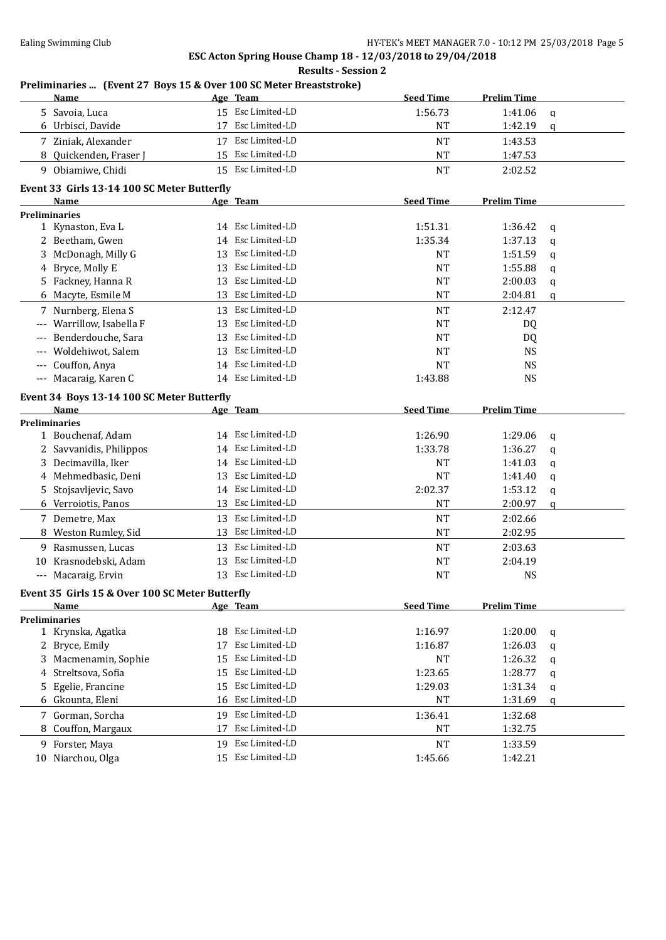|       |                                                                    |    | <b>Results - Session 2</b> |                  |                    |   |
|-------|--------------------------------------------------------------------|----|----------------------------|------------------|--------------------|---|
|       | Preliminaries  (Event 27 Boys 15 & Over 100 SC Meter Breaststroke) |    |                            |                  |                    |   |
|       | Name                                                               |    | Age Team                   | <b>Seed Time</b> | <b>Prelim Time</b> |   |
| 5.    | Savoia, Luca                                                       |    | 15 Esc Limited-LD          | 1:56.73          | 1:41.06            | q |
|       | 6 Urbisci, Davide                                                  | 17 | Esc Limited-LD             | NT               | 1:42.19            | q |
|       | 7 Ziniak, Alexander                                                |    | 17 Esc Limited-LD          | <b>NT</b>        | 1:43.53            |   |
|       | 8 Quickenden, Fraser J                                             |    | 15 Esc Limited-LD          | <b>NT</b>        | 1:47.53            |   |
|       | 9 Obiamiwe, Chidi                                                  |    | 15 Esc Limited-LD          | <b>NT</b>        | 2:02.52            |   |
|       | Event 33 Girls 13-14 100 SC Meter Butterfly                        |    |                            |                  |                    |   |
|       | Name                                                               |    | Age Team                   | <b>Seed Time</b> | <b>Prelim Time</b> |   |
|       | <b>Preliminaries</b>                                               |    |                            |                  |                    |   |
|       | 1 Kynaston, Eva L                                                  |    | 14 Esc Limited-LD          | 1:51.31          | 1:36.42            | q |
|       | 2 Beetham, Gwen                                                    | 14 | Esc Limited-LD             | 1:35.34          | 1:37.13            | q |
| 3     | McDonagh, Milly G                                                  | 13 | Esc Limited-LD             | <b>NT</b>        | 1:51.59            | q |
| 4     | Bryce, Molly E                                                     | 13 | Esc Limited-LD             | <b>NT</b>        | 1:55.88            | q |
| 5     | Fackney, Hanna R                                                   | 13 | Esc Limited-LD             | <b>NT</b>        | 2:00.03            | q |
| 6     | Macyte, Esmile M                                                   | 13 | Esc Limited-LD             | <b>NT</b>        | 2:04.81            | q |
|       | 7 Nurnberg, Elena S                                                | 13 | Esc Limited-LD             | <b>NT</b>        | 2:12.47            |   |
| $---$ | Warrillow, Isabella F                                              | 13 | Esc Limited-LD             | <b>NT</b>        | DQ                 |   |
|       | Benderdouche, Sara                                                 | 13 | Esc Limited-LD             | <b>NT</b>        | DQ                 |   |
| $---$ | Woldehiwot, Salem                                                  | 13 | Esc Limited-LD             | <b>NT</b>        | <b>NS</b>          |   |
|       | Couffon, Anya                                                      | 14 | Esc Limited-LD             | <b>NT</b>        | <b>NS</b>          |   |
|       | --- Macaraig, Karen C                                              |    | 14 Esc Limited-LD          | 1:43.88          | <b>NS</b>          |   |
|       | Event 34 Boys 13-14 100 SC Meter Butterfly                         |    |                            |                  |                    |   |
|       | Name                                                               |    | Age Team                   | <b>Seed Time</b> | <b>Prelim Time</b> |   |
|       | <b>Preliminaries</b>                                               |    |                            |                  |                    |   |
|       | 1 Bouchenaf, Adam                                                  |    | 14 Esc Limited-LD          | 1:26.90          | 1:29.06            | q |
|       | 2 Savvanidis, Philippos                                            | 14 | Esc Limited-LD             | 1:33.78          | 1:36.27            | q |
| 3     | Decimavilla, Iker                                                  | 14 | Esc Limited-LD             | NT               | 1:41.03            | q |
| 4     | Mehmedbasic, Deni                                                  | 13 | Esc Limited-LD             | <b>NT</b>        | 1:41.40            | q |
| 5     | Stojsavljevic, Savo                                                |    | 14 Esc Limited-LD          | 2:02.37          | 1:53.12            | q |
|       | 6 Verroiotis, Panos                                                |    | 13 Esc Limited-LD          | <b>NT</b>        | 2:00.97            | q |
|       | 7 Demetre, Max                                                     | 13 | Esc Limited-LD             | NT               | 2:02.66            |   |
| 8     | Weston Rumley, Sid                                                 |    | 13 Esc Limited-LD          | <b>NT</b>        | 2:02.95            |   |
| 9.    | Rasmussen, Lucas                                                   | 13 | Esc Limited-LD             | <b>NT</b>        | 2:03.63            |   |
| 10    | Krasnodebski, Adam                                                 | 13 | Esc Limited-LD             | <b>NT</b>        | 2:04.19            |   |
|       | --- Macaraig, Ervin                                                |    | 13 Esc Limited-LD          | <b>NT</b>        | <b>NS</b>          |   |
|       |                                                                    |    |                            |                  |                    |   |
|       | Event 35 Girls 15 & Over 100 SC Meter Butterfly                    |    |                            |                  |                    |   |
|       | Name<br><b>Preliminaries</b>                                       |    | Age Team                   | <b>Seed Time</b> | <b>Prelim Time</b> |   |
|       | 1 Krynska, Agatka                                                  | 18 | Esc Limited-LD             | 1:16.97          | 1:20.00            | q |
| 2     | Bryce, Emily                                                       | 17 | Esc Limited-LD             | 1:16.87          | 1:26.03            | q |
| 3     | Macmenamin, Sophie                                                 | 15 | Esc Limited-LD             | <b>NT</b>        | 1:26.32            | q |
| 4     | Streltsova, Sofia                                                  | 15 | Esc Limited-LD             | 1:23.65          | 1:28.77            | q |
| 5     | Egelie, Francine                                                   | 15 | Esc Limited-LD             | 1:29.03          | 1:31.34            |   |
|       | 6 Gkounta, Eleni                                                   | 16 | Esc Limited-LD             | <b>NT</b>        | 1:31.69            | q |
|       |                                                                    |    |                            |                  |                    | q |
|       | 7 Gorman, Sorcha                                                   | 19 | Esc Limited-LD             | 1:36.41          | 1:32.68            |   |
| 8     | Couffon, Margaux                                                   | 17 | Esc Limited-LD             | NT               | 1:32.75            |   |
|       | 9 Forster, Maya                                                    | 19 | Esc Limited-LD             | <b>NT</b>        | 1:33.59            |   |
| 10    | Niarchou, Olga                                                     |    | 15 Esc Limited-LD          | 1:45.66          | 1:42.21            |   |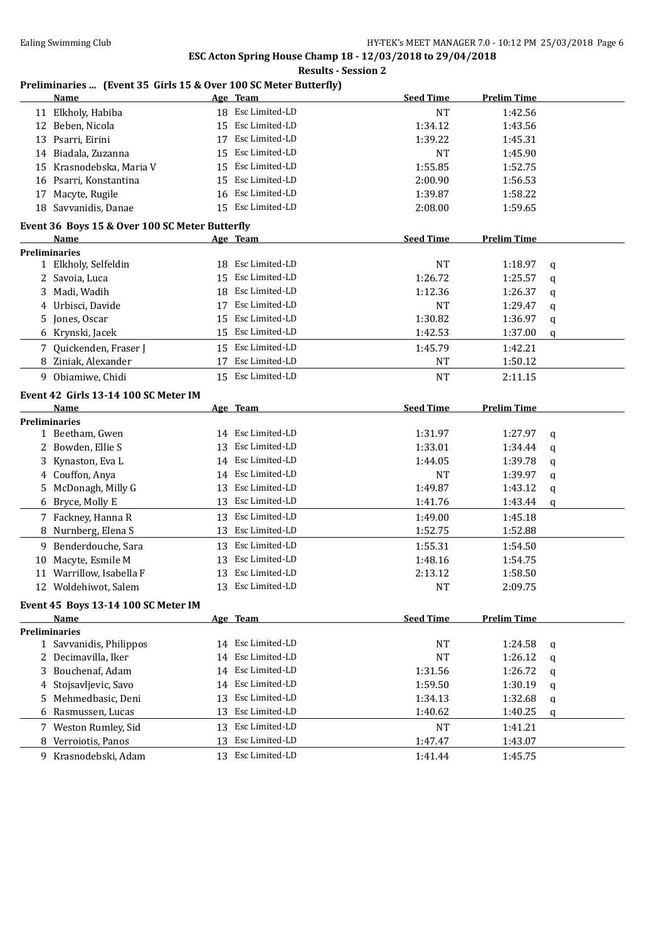### **Results - Session 2**

### **Preliminaries ... (Event 35 Girls 15 & Over 100 SC Meter Butterfly)**

|    | <b>Name</b>                                    |    | Age Team          | <b>Seed Time</b> | <b>Prelim Time</b> |   |
|----|------------------------------------------------|----|-------------------|------------------|--------------------|---|
|    | 11 Elkholy, Habiba                             |    | 18 Esc Limited-LD | <b>NT</b>        | 1:42.56            |   |
|    | 12 Beben, Nicola                               | 15 | Esc Limited-LD    | 1:34.12          | 1:43.56            |   |
|    | 13 Psarri, Eirini                              | 17 | Esc Limited-LD    | 1:39.22          | 1:45.31            |   |
| 14 | Biadala, Zuzanna                               | 15 | Esc Limited-LD    | <b>NT</b>        | 1:45.90            |   |
| 15 | Krasnodebska, Maria V                          | 15 | Esc Limited-LD    | 1:55.85          | 1:52.75            |   |
|    | 16 Psarri, Konstantina                         | 15 | Esc Limited-LD    | 2:00.90          | 1:56.53            |   |
| 17 | Macyte, Rugile                                 | 16 | Esc Limited-LD    | 1:39.87          | 1:58.22            |   |
|    | 18 Savvanidis, Danae                           |    | 15 Esc Limited-LD | 2:08.00          | 1:59.65            |   |
|    | Event 36 Boys 15 & Over 100 SC Meter Butterfly |    |                   |                  |                    |   |
|    | Name                                           |    | Age Team          | <b>Seed Time</b> | <b>Prelim Time</b> |   |
|    | Preliminaries                                  |    |                   |                  |                    |   |
|    | 1 Elkholy, Selfeldin                           |    | 18 Esc Limited-LD | <b>NT</b>        | 1:18.97            | q |
|    | 2 Savoia, Luca                                 |    | 15 Esc Limited-LD | 1:26.72          | 1:25.57            | q |
| 3  | Madi, Wadih                                    | 18 | Esc Limited-LD    | 1:12.36          | 1:26.37            | q |
| 4  | Urbisci, Davide                                | 17 | Esc Limited-LD    | <b>NT</b>        | 1:29.47            | q |
| 5  | Jones, Oscar                                   | 15 | Esc Limited-LD    | 1:30.82          | 1:36.97            | q |
|    | 6 Krynski, Jacek                               |    | 15 Esc Limited-LD | 1:42.53          | 1:37.00            | q |
|    | 7 Quickenden, Fraser J                         |    | 15 Esc Limited-LD | 1:45.79          | 1:42.21            |   |
| 8  | Ziniak, Alexander                              | 17 | Esc Limited-LD    | <b>NT</b>        | 1:50.12            |   |
|    | 9 Obiamiwe, Chidi                              |    | 15 Esc Limited-LD | <b>NT</b>        | 2:11.15            |   |
|    | Event 42 Girls 13-14 100 SC Meter IM           |    |                   |                  |                    |   |
|    | Name                                           |    | Age Team          | <b>Seed Time</b> | <b>Prelim Time</b> |   |
|    | Preliminaries                                  |    |                   |                  |                    |   |
|    | 1 Beetham, Gwen                                |    | 14 Esc Limited-LD | 1:31.97          | 1:27.97            | q |
| 2  | Bowden, Ellie S                                | 13 | Esc Limited-LD    | 1:33.01          | 1:34.44            | q |
| 3  | Kynaston, Eva L                                | 14 | Esc Limited-LD    | 1:44.05          | 1:39.78            | q |
| 4  | Couffon, Anya                                  | 14 | Esc Limited-LD    | <b>NT</b>        | 1:39.97            | q |
| 5  | McDonagh, Milly G                              | 13 | Esc Limited-LD    | 1:49.87          | 1:43.12            | q |
|    | 6 Bryce, Molly E                               | 13 | Esc Limited-LD    | 1:41.76          | 1:43.44            | q |
|    | 7 Fackney, Hanna R                             | 13 | Esc Limited-LD    | 1:49.00          | 1:45.18            |   |
| 8  | Nurnberg, Elena S                              | 13 | Esc Limited-LD    | 1:52.75          | 1:52.88            |   |
|    | 9 Benderdouche, Sara                           | 13 | Esc Limited-LD    | 1:55.31          | 1:54.50            |   |
| 10 | Macyte, Esmile M                               |    | 13 Esc Limited-LD | 1:48.16          | 1:54.75            |   |
| 11 | Warrillow, Isabella F                          | 13 | Esc Limited-LD    | 2:13.12          | 1:58.50            |   |
|    | 12 Woldehiwot, Salem                           |    | 13 Esc Limited-LD | <b>NT</b>        | 2:09.75            |   |
|    |                                                |    |                   |                  |                    |   |
|    | Event 45 Boys 13-14 100 SC Meter IM<br>Name    |    | Age Team          | <b>Seed Time</b> | <b>Prelim Time</b> |   |
|    | <b>Preliminaries</b>                           |    |                   |                  |                    |   |
|    | 1 Savvanidis, Philippos                        | 14 | Esc Limited-LD    | NT               | 1:24.58            | q |
|    | 2 Decimavilla, Iker                            | 14 | Esc Limited-LD    | NT               | 1:26.12            | q |
| 3  | Bouchenaf, Adam                                | 14 | Esc Limited-LD    | 1:31.56          | 1:26.72            | q |
|    | 4 Stojsavljevic, Savo                          | 14 | Esc Limited-LD    | 1:59.50          | 1:30.19            | q |
| 5  | Mehmedbasic, Deni                              | 13 | Esc Limited-LD    | 1:34.13          | 1:32.68            | q |
|    | 6 Rasmussen, Lucas                             | 13 | Esc Limited-LD    | 1:40.62          | 1:40.25            | q |
|    | 7 Weston Rumley, Sid                           | 13 | Esc Limited-LD    | NT               | 1:41.21            |   |
|    | 8 Verroiotis, Panos                            | 13 | Esc Limited-LD    | 1:47.47          | 1:43.07            |   |
|    | 9 Krasnodebski, Adam                           |    | 13 Esc Limited-LD | 1:41.44          | 1:45.75            |   |
|    |                                                |    |                   |                  |                    |   |